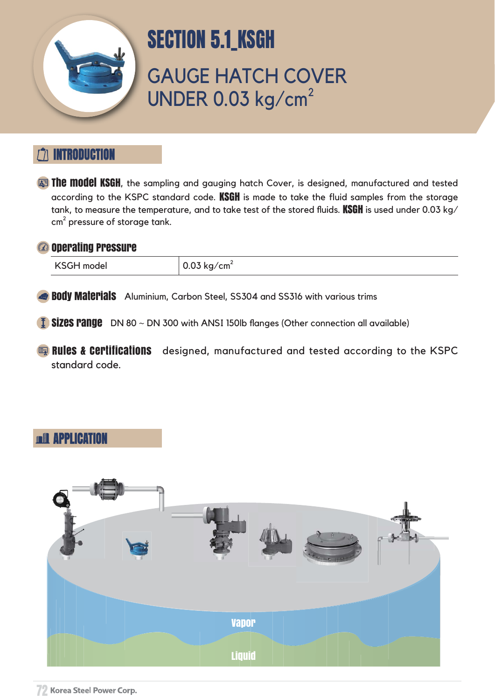GAUGE HATCH COVER UNDER 0.03 kg/cm<sup>2</sup>



# ITRODUCTION

**The model KSGH**, the sampling and gauging hatch Cover, is designed, manufactured and tested according to the KSPC standard code. KSGH is made to take the fluid samples from the storage tank, to measure the temperature, and to take test of the stored fluids. KSGH is used under 0.03 kg/ cm $^2$  pressure of storage tank.

#### <sup>2</sup> Operating Pressure

KSGH model  $\vert$  0.03 kg/cm<sup>2</sup>

**Body Materials** Aluminium, Carbon Steel, SS304 and SS316 with various trims

 $\overline{1}$  Sizes range DN 80  $\sim$  DN 300 with ANSI 150lb flanges (Other connection all available)

### APPLICATION



# SECTION 5.1\_KSGH

**Rules & Certifications** designed, manufactured and tested according to the KSPC standard code.